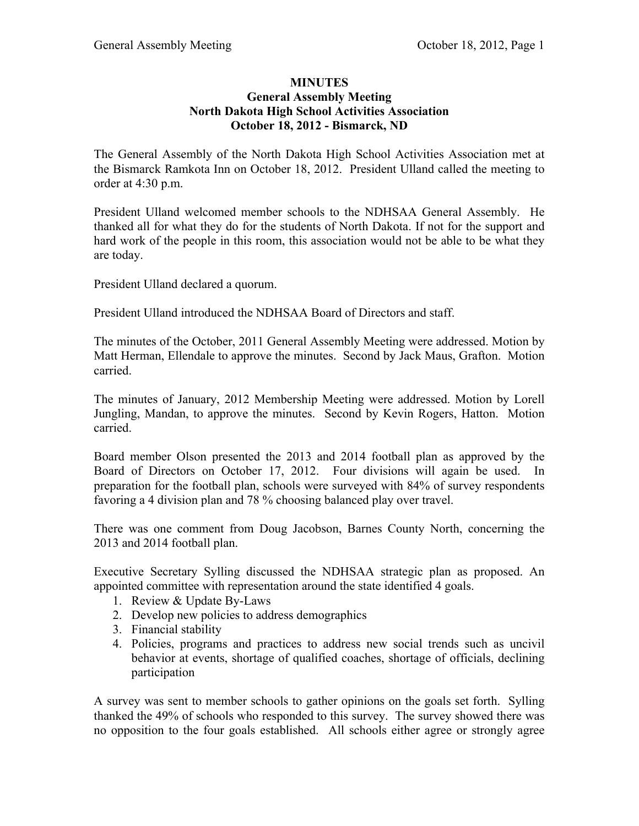## **MINUTES General Assembly Meeting North Dakota High School Activities Association October 18, 2012 - Bismarck, ND**

The General Assembly of the North Dakota High School Activities Association met at the Bismarck Ramkota Inn on October 18, 2012. President Ulland called the meeting to order at 4:30 p.m.

President Ulland welcomed member schools to the NDHSAA General Assembly. He thanked all for what they do for the students of North Dakota. If not for the support and hard work of the people in this room, this association would not be able to be what they are today.

President Ulland declared a quorum.

President Ulland introduced the NDHSAA Board of Directors and staff.

The minutes of the October, 2011 General Assembly Meeting were addressed. Motion by Matt Herman, Ellendale to approve the minutes. Second by Jack Maus, Grafton. Motion carried.

The minutes of January, 2012 Membership Meeting were addressed. Motion by Lorell Jungling, Mandan, to approve the minutes. Second by Kevin Rogers, Hatton. Motion carried.

Board member Olson presented the 2013 and 2014 football plan as approved by the Board of Directors on October 17, 2012. Four divisions will again be used. In preparation for the football plan, schools were surveyed with 84% of survey respondents favoring a 4 division plan and 78 % choosing balanced play over travel.

There was one comment from Doug Jacobson, Barnes County North, concerning the 2013 and 2014 football plan.

Executive Secretary Sylling discussed the NDHSAA strategic plan as proposed. An appointed committee with representation around the state identified 4 goals.

- 1. Review & Update By-Laws
- 2. Develop new policies to address demographics
- 3. Financial stability
- 4. Policies, programs and practices to address new social trends such as uncivil behavior at events, shortage of qualified coaches, shortage of officials, declining participation

A survey was sent to member schools to gather opinions on the goals set forth. Sylling thanked the 49% of schools who responded to this survey. The survey showed there was no opposition to the four goals established. All schools either agree or strongly agree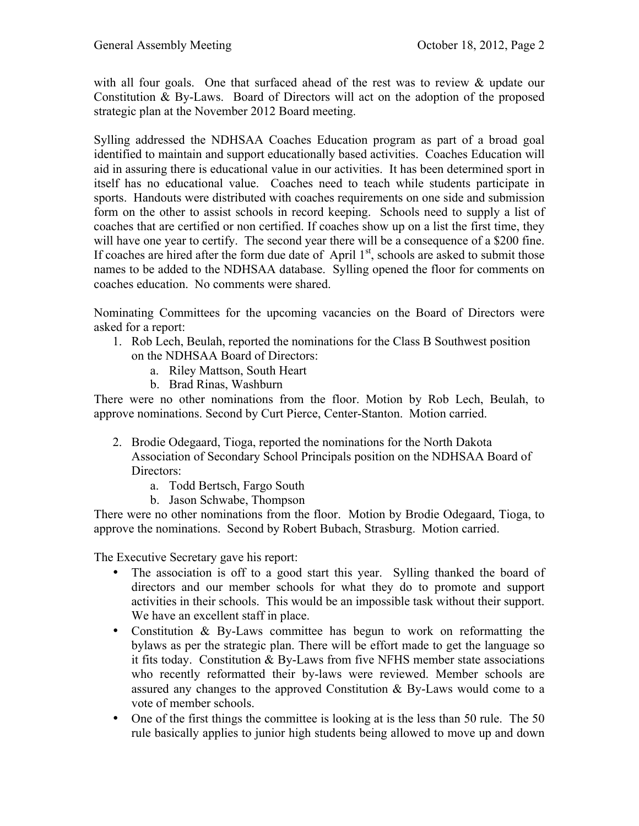with all four goals. One that surfaced ahead of the rest was to review  $\&$  update our Constitution & By-Laws. Board of Directors will act on the adoption of the proposed strategic plan at the November 2012 Board meeting.

Sylling addressed the NDHSAA Coaches Education program as part of a broad goal identified to maintain and support educationally based activities. Coaches Education will aid in assuring there is educational value in our activities. It has been determined sport in itself has no educational value. Coaches need to teach while students participate in sports. Handouts were distributed with coaches requirements on one side and submission form on the other to assist schools in record keeping. Schools need to supply a list of coaches that are certified or non certified. If coaches show up on a list the first time, they will have one year to certify. The second year there will be a consequence of a \$200 fine. If coaches are hired after the form due date of April  $1<sup>st</sup>$ , schools are asked to submit those names to be added to the NDHSAA database. Sylling opened the floor for comments on coaches education. No comments were shared.

Nominating Committees for the upcoming vacancies on the Board of Directors were asked for a report:

- 1. Rob Lech, Beulah, reported the nominations for the Class B Southwest position on the NDHSAA Board of Directors:
	- a. Riley Mattson, South Heart
	- b. Brad Rinas, Washburn

There were no other nominations from the floor. Motion by Rob Lech, Beulah, to approve nominations. Second by Curt Pierce, Center-Stanton. Motion carried.

- 2. Brodie Odegaard, Tioga, reported the nominations for the North Dakota Association of Secondary School Principals position on the NDHSAA Board of Directors:
	- a. Todd Bertsch, Fargo South
	- b. Jason Schwabe, Thompson

There were no other nominations from the floor. Motion by Brodie Odegaard, Tioga, to approve the nominations. Second by Robert Bubach, Strasburg. Motion carried.

The Executive Secretary gave his report:

- The association is off to a good start this year. Sylling thanked the board of directors and our member schools for what they do to promote and support activities in their schools. This would be an impossible task without their support. We have an excellent staff in place.
- Constitution & By-Laws committee has begun to work on reformatting the bylaws as per the strategic plan. There will be effort made to get the language so it fits today. Constitution & By-Laws from five NFHS member state associations who recently reformatted their by-laws were reviewed. Member schools are assured any changes to the approved Constitution & By-Laws would come to a vote of member schools.
- One of the first things the committee is looking at is the less than 50 rule. The 50 rule basically applies to junior high students being allowed to move up and down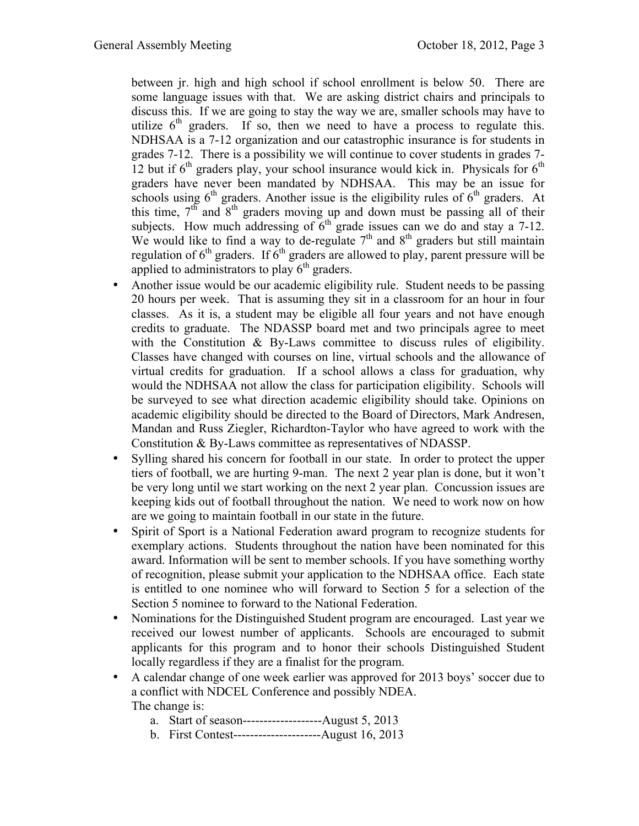between jr. high and high school if school enrollment is below 50. There are some language issues with that. We are asking district chairs and principals to discuss this. If we are going to stay the way we are, smaller schools may have to utilize  $6<sup>th</sup>$  graders. If so, then we need to have a process to regulate this. NDHSAA is a 7-12 organization and our catastrophic insurance is for students in grades 7-12. There is a possibility we will continue to cover students in grades 7- 12 but if  $6<sup>th</sup>$  graders play, your school insurance would kick in. Physicals for  $6<sup>th</sup>$ graders have never been mandated by NDHSAA. This may be an issue for schools using  $6<sup>th</sup>$  graders. Another issue is the eligibility rules of  $6<sup>th</sup>$  graders. At this time,  $7<sup>th</sup>$  and  $8<sup>th</sup>$  graders moving up and down must be passing all of their subjects. How much addressing of  $6<sup>th</sup>$  grade issues can we do and stay a 7-12. We would like to find a way to de-regulate  $7<sup>th</sup>$  and  $8<sup>th</sup>$  graders but still maintain regulation of  $6<sup>th</sup>$  graders. If  $6<sup>th</sup>$  graders are allowed to play, parent pressure will be applied to administrators to play  $6<sup>th</sup>$  graders.

- Another issue would be our academic eligibility rule. Student needs to be passing 20 hours per week. That is assuming they sit in a classroom for an hour in four classes. As it is, a student may be eligible all four years and not have enough credits to graduate. The NDASSP board met and two principals agree to meet with the Constitution  $\&$  By-Laws committee to discuss rules of eligibility. Classes have changed with courses on line, virtual schools and the allowance of virtual credits for graduation. If a school allows a class for graduation, why would the NDHSAA not allow the class for participation eligibility. Schools will be surveyed to see what direction academic eligibility should take. Opinions on academic eligibility should be directed to the Board of Directors, Mark Andresen, Mandan and Russ Ziegler, Richardton-Taylor who have agreed to work with the Constitution & By-Laws committee as representatives of NDASSP.
- Sylling shared his concern for football in our state. In order to protect the upper tiers of football, we are hurting 9-man. The next 2 year plan is done, but it won't be very long until we start working on the next 2 year plan. Concussion issues are keeping kids out of football throughout the nation. We need to work now on how are we going to maintain football in our state in the future.
- Spirit of Sport is a National Federation award program to recognize students for exemplary actions. Students throughout the nation have been nominated for this award. Information will be sent to member schools. If you have something worthy of recognition, please submit your application to the NDHSAA office. Each state is entitled to one nominee who will forward to Section 5 for a selection of the Section 5 nominee to forward to the National Federation.
- Nominations for the Distinguished Student program are encouraged. Last year we received our lowest number of applicants. Schools are encouraged to submit applicants for this program and to honor their schools Distinguished Student locally regardless if they are a finalist for the program.
- A calendar change of one week earlier was approved for 2013 boys' soccer due to a conflict with NDCEL Conference and possibly NDEA. The change is:
	- a. Start of season-------------------August 5, 2013
	- b. First Contest---------------------August 16, 2013